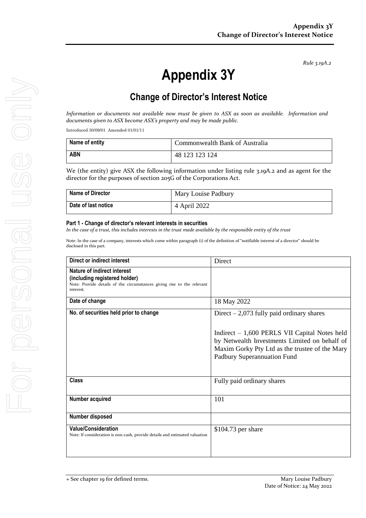*Rule 3.19A.2*

# **Appendix 3Y**

# **Change of Director's Interest Notice**

*Information or documents not available now must be given to ASX as soon as available. Information and documents given to ASX become ASX's property and may be made public.*

Introduced 30/09/01 Amended 01/01/11

| Name of entity | Commonwealth Bank of Australia |
|----------------|--------------------------------|
| <b>ABN</b>     | 48 123 123 124                 |

We (the entity) give ASX the following information under listing rule 3.19A.2 and as agent for the director for the purposes of section 205G of the Corporations Act.

| <b>Name of Director</b> | Mary Louise Padbury |
|-------------------------|---------------------|
| Date of last notice     | 4 April 2022        |

#### **Part 1 - Change of director's relevant interests in securities**

*In the case of a trust, this includes interests in the trust made available by the responsible entity of the trust*

Note: In the case of a company, interests which come within paragraph (i) of the definition of "notifiable interest of a director" should be disclosed in this part.

| Direct or indirect interest                                                                                                                         | Direct                                                                                                                                                                           |
|-----------------------------------------------------------------------------------------------------------------------------------------------------|----------------------------------------------------------------------------------------------------------------------------------------------------------------------------------|
| Nature of indirect interest<br>(including registered holder)<br>Note: Provide details of the circumstances giving rise to the relevant<br>interest. |                                                                                                                                                                                  |
| Date of change                                                                                                                                      | 18 May 2022                                                                                                                                                                      |
| No. of securities held prior to change                                                                                                              | Direct $-2,073$ fully paid ordinary shares                                                                                                                                       |
|                                                                                                                                                     | Indirect $-1,600$ PERLS VII Capital Notes held<br>by Netwealth Investments Limited on behalf of<br>Maxim Gorky Pty Ltd as the trustee of the Mary<br>Padbury Superannuation Fund |
| <b>Class</b>                                                                                                                                        | Fully paid ordinary shares                                                                                                                                                       |
| Number acquired                                                                                                                                     | 101                                                                                                                                                                              |
| Number disposed                                                                                                                                     |                                                                                                                                                                                  |
| <b>Value/Consideration</b><br>Note: If consideration is non-cash, provide details and estimated valuation                                           | $$104.73$ per share                                                                                                                                                              |